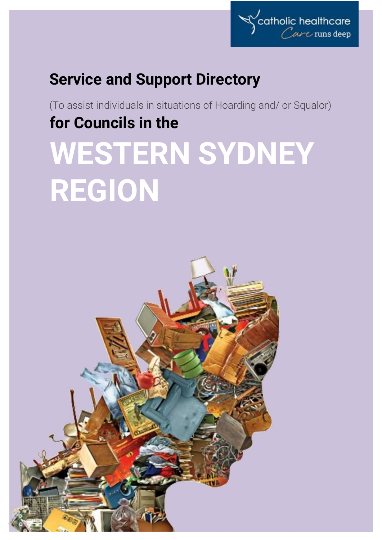

# **Service and Support Directory**

(To assist individuals in situations of Hoarding and/ or Squalor) **for Councils in the**

# **WESTERN SYDNEY REGION**

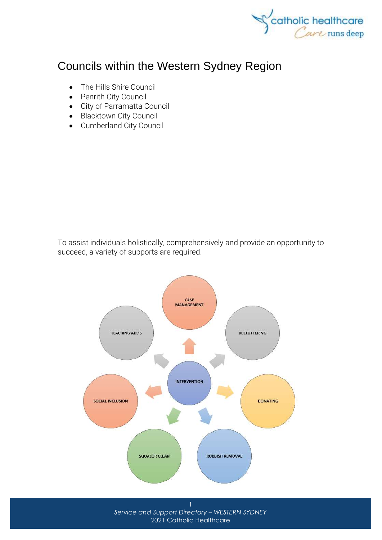

# Councils within the Western Sydney Region

- [The Hills Shire Council](http://www.thehills.nsw.gov.au/Home)
- [Penrith City Council](http://www.penrithcity.nsw.gov.au/)
- [City of Parramatta Council](http://www.parracity.nsw.gov.au/)
- [Blacktown City Council](http://www.blacktown.nsw.gov.au/)
- [Cumberland City Council](http://www.cumberland.nsw.gov.au/)

To assist individuals holistically, comprehensively and provide an opportunity to succeed, a variety of supports are required.



*Service and Support Directory – WESTERN SYDNEY* 2021 Catholic Healthcare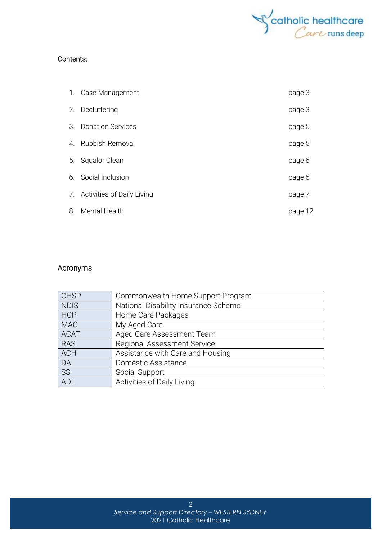

#### Contents:

|                       | 1. Case Management            | page 3  |
|-----------------------|-------------------------------|---------|
|                       | 2. Decluttering               | page 3  |
| $\mathcal{S}_{\cdot}$ | <b>Donation Services</b>      | page 5  |
| 4 <sup>1</sup>        | Rubbish Removal               | page 5  |
| 5.                    | Squalor Clean                 | page 6  |
|                       | 6. Social Inclusion           | page 6  |
|                       | 7. Activities of Daily Living | page 7  |
| 8.                    | Mental Health                 | page 12 |

#### **Acronyms**

| <b>CHSP</b> | Commonwealth Home Support Program    |
|-------------|--------------------------------------|
| <b>NDIS</b> | National Disability Insurance Scheme |
| <b>HCP</b>  | Home Care Packages                   |
| <b>MAC</b>  | My Aged Care                         |
| <b>ACAT</b> | Aged Care Assessment Team            |
| <b>RAS</b>  | <b>Regional Assessment Service</b>   |
| <b>ACH</b>  | Assistance with Care and Housing     |
| DA          | Domestic Assistance                  |
| SS          | Social Support                       |
| ADL         | Activities of Daily Living           |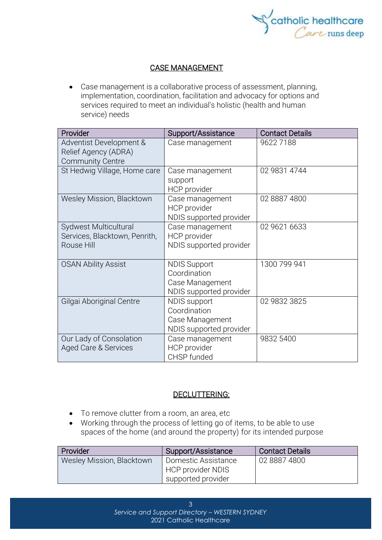

#### CASE MANAGEMENT

• Case management is a collaborative process of assessment, planning, implementation, coordination, facilitation and advocacy for options and services required to meet an individual's holistic (health and human service) needs

| Provider                                                                   | Support/Assistance                                                                | <b>Contact Details</b> |
|----------------------------------------------------------------------------|-----------------------------------------------------------------------------------|------------------------|
| Adventist Development &<br>Relief Agency (ADRA)<br><b>Community Centre</b> | Case management                                                                   | 96227188               |
| St Hedwig Village, Home care                                               | Case management<br>support<br>HCP provider                                        | 02 9831 4744           |
| <b>Wesley Mission, Blacktown</b>                                           | Case management<br>HCP provider<br>NDIS supported provider                        | 02 8887 4800           |
| Sydwest Multicultural<br>Services, Blacktown, Penrith,<br>Rouse Hill       | Case management<br>HCP provider<br>NDIS supported provider                        | 02 9621 6633           |
| <b>OSAN Ability Assist</b>                                                 | <b>NDIS Support</b><br>Coordination<br>Case Management<br>NDIS supported provider | 1300 799 941           |
| Gilgai Aboriginal Centre                                                   | <b>NDIS</b> support<br>Coordination<br>Case Management<br>NDIS supported provider | 02 9832 3825           |
| Our Lady of Consolation<br>Aged Care & Services                            | Case management<br><b>HCP</b> provider<br>CHSP funded                             | 9832 5400              |

#### DECLUTTERING:

- To remove clutter from a room, an area, etc
- Working through the process of letting go of items, to be able to use spaces of the home (and around the property) for its intended purpose

| Provider                  | Support/Assistance                                                    | <b>Contact Details</b> |
|---------------------------|-----------------------------------------------------------------------|------------------------|
| Wesley Mission, Blacktown | Domestic Assistance<br><b>HCP provider NDIS</b><br>supported provider | 02 8887 4800           |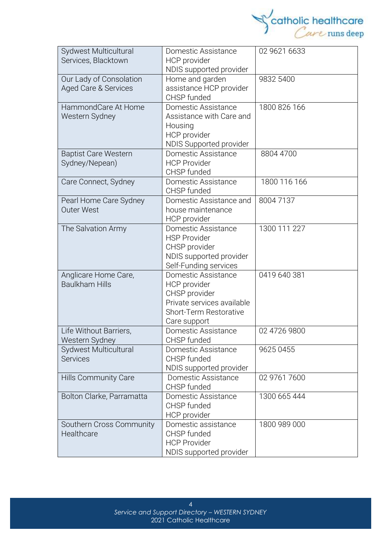

| Sydwest Multicultural                         | Domestic Assistance                     | 02 9621 6633 |
|-----------------------------------------------|-----------------------------------------|--------------|
| Services, Blacktown                           | HCP provider<br>NDIS supported provider |              |
| Our Lady of Consolation                       | Home and garden                         | 9832 5400    |
| Aged Care & Services                          | assistance HCP provider                 |              |
|                                               | CHSP funded                             |              |
| HammondCare At Home                           | Domestic Assistance                     | 1800 826 166 |
| Western Sydney                                | Assistance with Care and<br>Housing     |              |
|                                               | HCP provider                            |              |
|                                               | <b>NDIS Supported provider</b>          |              |
| <b>Baptist Care Western</b>                   | Domestic Assistance                     | 8804 4700    |
| Sydney/Nepean)                                | <b>HCP Provider</b><br>CHSP funded      |              |
| Care Connect, Sydney                          | Domestic Assistance                     | 1800 116 166 |
|                                               | CHSP funded                             |              |
| Pearl Home Care Sydney                        | Domestic Assistance and                 | 80047137     |
| <b>Outer West</b>                             | house maintenance                       |              |
| The Salvation Army                            | HCP provider<br>Domestic Assistance     | 1300 111 227 |
|                                               | <b>HSP Provider</b>                     |              |
|                                               | CHSP provider                           |              |
|                                               | NDIS supported provider                 |              |
|                                               | Self-Funding services                   |              |
| Anglicare Home Care,<br><b>Baulkham Hills</b> | Domestic Assistance<br>HCP provider     | 0419 640 381 |
|                                               | CHSP provider                           |              |
|                                               | Private services available              |              |
|                                               | Short-Term Restorative                  |              |
|                                               | Care support                            |              |
| ife Without Barriers<br>Western Sydney        | Domestic Assistance<br>CHSP funded      | 02 4726 9800 |
| Sydwest Multicultural                         | Domestic Assistance                     | 9625 0455    |
| <b>Services</b>                               | CHSP funded                             |              |
|                                               | NDIS supported provider                 |              |
| <b>Hills Community Care</b>                   | Domestic Assistance<br>CHSP funded      | 02 9761 7600 |
| Bolton Clarke, Parramatta                     | Domestic Assistance                     | 1300 665 444 |
|                                               | CHSP funded                             |              |
|                                               | HCP provider                            |              |
| Southern Cross Community<br>Healthcare        | Domestic assistance<br>CHSP funded      | 1800 989 000 |
|                                               | <b>HCP Provider</b>                     |              |
|                                               | NDIS supported provider                 |              |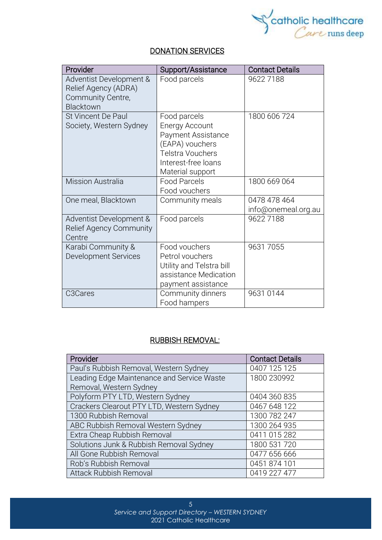

#### DONATION SERVICES

| Provider                                                                          | Support/Assistance                                                                                                                                   | <b>Contact Details</b>              |
|-----------------------------------------------------------------------------------|------------------------------------------------------------------------------------------------------------------------------------------------------|-------------------------------------|
| Adventist Development &<br>Relief Agency (ADRA)<br>Community Centre,<br>Blacktown | Food parcels                                                                                                                                         | 96227188                            |
| St Vincent De Paul<br>Society, Western Sydney                                     | Food parcels<br><b>Energy Account</b><br>Payment Assistance<br>(EAPA) vouchers<br><b>Telstra Vouchers</b><br>Interest-free loans<br>Material support | 1800 606 724                        |
| <b>Mission Australia</b>                                                          | <b>Food Parcels</b><br>Food vouchers                                                                                                                 | 1800 669 064                        |
| One meal, Blacktown                                                               | Community meals                                                                                                                                      | 0478 478 464<br>info@onemeal.org.au |
| Adventist Development &<br>Relief Agency Community<br>Centre                      | Food parcels                                                                                                                                         | 96227188                            |
| Karabi Community &<br><b>Development Services</b>                                 | Food vouchers<br>Petrol vouchers<br>Utility and Telstra bill<br>assistance Medication<br>payment assistance                                          | 96317055                            |
| C3Cares                                                                           | Community dinners<br>Food hampers                                                                                                                    | 9631 0144                           |

#### RUBBISH REMOVAL:

| Provider                                   | <b>Contact Details</b> |
|--------------------------------------------|------------------------|
| Paul's Rubbish Removal, Western Sydney     | 0407 125 125           |
| Leading Edge Maintenance and Service Waste | 1800 230992            |
| Removal, Western Sydney                    |                        |
| Polyform PTY LTD, Western Sydney           | 0404 360 835           |
| Crackers Clearout PTY LTD, Western Sydney  | 0467 648 122           |
| 1300 Rubbish Removal                       | 1300 782 247           |
| ABC Rubbish Removal Western Sydney         | 1300 264 935           |
| Extra Cheap Rubbish Removal                | 0411 015 282           |
| Solutions Junk & Rubbish Removal Sydney    | 1800 531 720           |
| All Gone Rubbish Removal                   | 0477 656 666           |
| Rob's Rubbish Removal                      | 0451 874 101           |
| <b>Attack Rubbish Removal</b>              | 0419 227 477           |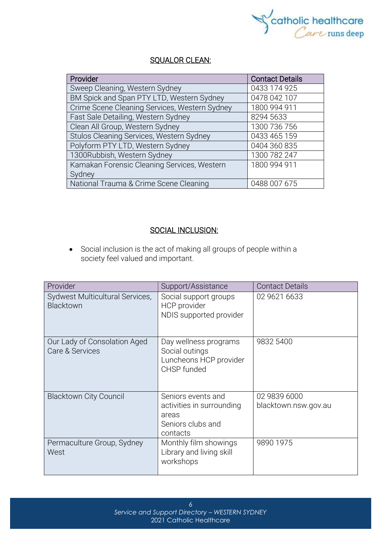

#### <u>SQUALOR CLEAN:</u>

| Provider                                      | <b>Contact Details</b> |
|-----------------------------------------------|------------------------|
| Sweep Cleaning, Western Sydney                | 0433 174 925           |
| BM Spick and Span PTY LTD, Western Sydney     | 0478 042 107           |
| Crime Scene Cleaning Services, Western Sydney | 1800 994 911           |
| Fast Sale Detailing, Western Sydney           | 8294 5633              |
| Clean All Group, Western Sydney               | 1300 736 756           |
| Stulos Cleaning Services, Western Sydney      | 0433 465 159           |
| Polyform PTY LTD, Western Sydney              | 0404 360 835           |
| 1300Rubbish, Western Sydney                   | 1300 782 247           |
| Kamakan Forensic Cleaning Services, Western   | 1800 994 911           |
| Sydney                                        |                        |
| National Trauma & Crime Scene Cleaning        | 0488 007 675           |

#### SOCIAL INCLUSION:

• Social [inclusion](https://www.collinsdictionary.com/dictionary/english/inclusion) is the act of making all groups of people within a society [feel](https://www.collinsdictionary.com/dictionary/english/feel) valued and [important.](https://www.collinsdictionary.com/dictionary/english/important)

| Provider                                        | Support/Assistance                                                                        | <b>Contact Details</b>               |
|-------------------------------------------------|-------------------------------------------------------------------------------------------|--------------------------------------|
| Sydwest Multicultural Services,<br>Blacktown    | Social support groups<br>HCP provider<br>NDIS supported provider                          | 02 9621 6633                         |
| Our Lady of Consolation Aged<br>Care & Services | Day wellness programs<br>Social outings<br>Luncheons HCP provider<br>CHSP funded          | 9832 5400                            |
| <b>Blacktown City Council</b>                   | Seniors events and<br>activities in surrounding<br>areas<br>Seniors clubs and<br>contacts | 02 9839 6000<br>blacktown.nsw.gov.au |
| Permaculture Group, Sydney<br>West              | Monthly film showings<br>Library and living skill<br>workshops                            | 9890 1975                            |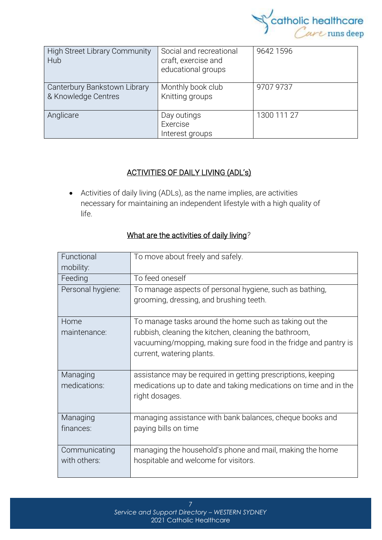

| <b>High Street Library Community</b><br>Hub         | Social and recreational<br>craft, exercise and<br>educational groups | 9642 1596   |
|-----------------------------------------------------|----------------------------------------------------------------------|-------------|
| Canterbury Bankstown Library<br>& Knowledge Centres | Monthly book club<br>Knitting groups                                 | 9707 9737   |
| Anglicare                                           | Day outings<br>Exercise<br>Interest groups                           | 1300 111 27 |

#### ACTIVITIES OF DAILY LIVING (ADL's)

• Activities of daily living (ADLs), as the name implies, are activities necessary for maintaining an independent lifestyle with a high quality of life.

| Functional<br>mobility: | To move about freely and safely.                                                                                                                      |
|-------------------------|-------------------------------------------------------------------------------------------------------------------------------------------------------|
| Feeding                 | To feed oneself                                                                                                                                       |
| Personal hygiene:       | To manage aspects of personal hygiene, such as bathing,<br>grooming, dressing, and brushing teeth.                                                    |
| Home                    | To manage tasks around the home such as taking out the                                                                                                |
| maintenance:            | rubbish, cleaning the kitchen, cleaning the bathroom,<br>vacuuming/mopping, making sure food in the fridge and pantry is<br>current, watering plants. |
| Managing                | assistance may be required in getting prescriptions, keeping                                                                                          |
| medications:            | medications up to date and taking medications on time and in the<br>right dosages.                                                                    |
| Managing                | managing assistance with bank balances, cheque books and                                                                                              |
| finances:               | paying bills on time                                                                                                                                  |
| Communicating           | managing the household's phone and mail, making the home                                                                                              |
| with others:            | hospitable and welcome for visitors.                                                                                                                  |

## What are the activities of daily living*?*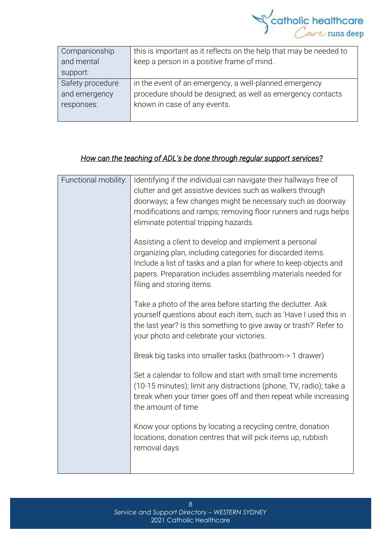

| Companionship    | this is important as it reflects on the help that may be needed to |
|------------------|--------------------------------------------------------------------|
| and mental       | keep a person in a positive frame of mind.                         |
| support:         |                                                                    |
| Safety procedure | in the event of an emergency, a well-planned emergency             |
| and emergency    | procedure should be designed; as well as emergency contacts        |
| responses:       | known in case of any events.                                       |
|                  |                                                                    |

#### *How can the teaching of ADL's be done through regular support services?*

| Functional mobility: | Identifying if the individual can navigate their hallways free of  |  |
|----------------------|--------------------------------------------------------------------|--|
|                      | clutter and get assistive devices such as walkers through          |  |
|                      | doorways; a few changes might be necessary such as doorway         |  |
|                      | modifications and ramps; removing floor runners and rugs helps     |  |
|                      | eliminate potential tripping hazards.                              |  |
|                      |                                                                    |  |
|                      | Assisting a client to develop and implement a personal             |  |
|                      | organizing plan, including categories for discarded items.         |  |
|                      | Include a list of tasks and a plan for where to keep objects and   |  |
|                      | papers. Preparation includes assembling materials needed for       |  |
|                      | filing and storing items.                                          |  |
|                      |                                                                    |  |
|                      | Take a photo of the area before starting the declutter. Ask        |  |
|                      | yourself questions about each item, such as 'Have I used this in   |  |
|                      | the last year? Is this something to give away or trash?' Refer to  |  |
|                      | your photo and celebrate your victories.                           |  |
|                      |                                                                    |  |
|                      | Break big tasks into smaller tasks (bathroom-> 1 drawer)           |  |
|                      |                                                                    |  |
|                      | Set a calendar to follow and start with small time increments      |  |
|                      | (10-15 minutes); limit any distractions (phone, TV, radio); take a |  |
|                      | break when your timer goes off and then repeat while increasing    |  |
|                      | the amount of time                                                 |  |
|                      |                                                                    |  |
|                      | Know your options by locating a recycling centre, donation         |  |
|                      | locations, donation centres that will pick items up, rubbish       |  |
|                      | removal days                                                       |  |
|                      |                                                                    |  |
|                      |                                                                    |  |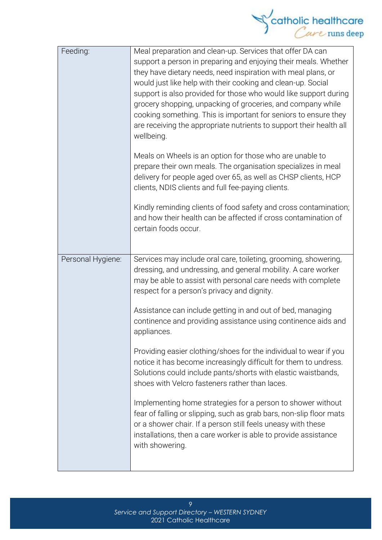

| Feeding:          | Meal preparation and clean-up. Services that offer DA can<br>support a person in preparing and enjoying their meals. Whether<br>they have dietary needs, need inspiration with meal plans, or<br>would just like help with their cooking and clean-up. Social<br>support is also provided for those who would like support during<br>grocery shopping, unpacking of groceries, and company while<br>cooking something. This is important for seniors to ensure they<br>are receiving the appropriate nutrients to support their health all<br>wellbeing. |
|-------------------|----------------------------------------------------------------------------------------------------------------------------------------------------------------------------------------------------------------------------------------------------------------------------------------------------------------------------------------------------------------------------------------------------------------------------------------------------------------------------------------------------------------------------------------------------------|
|                   | Meals on Wheels is an option for those who are unable to<br>prepare their own meals. The organisation specializes in meal<br>delivery for people aged over 65, as well as CHSP clients, HCP<br>clients, NDIS clients and full fee-paying clients.                                                                                                                                                                                                                                                                                                        |
|                   | Kindly reminding clients of food safety and cross contamination;<br>and how their health can be affected if cross contamination of<br>certain foods occur.                                                                                                                                                                                                                                                                                                                                                                                               |
| Personal Hygiene: | Services may include oral care, toileting, grooming, showering,<br>dressing, and undressing, and general mobility. A care worker<br>may be able to assist with personal care needs with complete<br>respect for a person's privacy and dignity.                                                                                                                                                                                                                                                                                                          |
|                   | Assistance can include getting in and out of bed, managing<br>continence and providing assistance using continence aids and<br>appliances.                                                                                                                                                                                                                                                                                                                                                                                                               |
|                   | Providing easier clothing/shoes for the individual to wear if you<br>notice it has become increasingly difficult for them to undress.<br>Solutions could include pants/shorts with elastic waistbands,<br>shoes with Velcro fasteners rather than laces.                                                                                                                                                                                                                                                                                                 |
|                   | Implementing home strategies for a person to shower without<br>fear of falling or slipping, such as grab bars, non-slip floor mats<br>or a shower chair. If a person still feels uneasy with these<br>installations, then a care worker is able to provide assistance<br>with showering.                                                                                                                                                                                                                                                                 |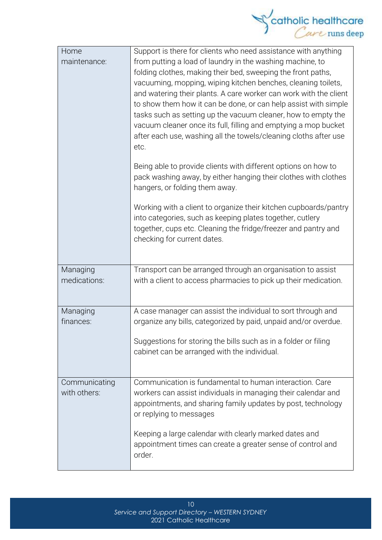

| Home                          | Support is there for clients who need assistance with anything                                                                                                                                                                                                                                                                                                                                                                                                                                                                                     |
|-------------------------------|----------------------------------------------------------------------------------------------------------------------------------------------------------------------------------------------------------------------------------------------------------------------------------------------------------------------------------------------------------------------------------------------------------------------------------------------------------------------------------------------------------------------------------------------------|
| maintenance:                  | from putting a load of laundry in the washing machine, to<br>folding clothes, making their bed, sweeping the front paths,<br>vacuuming, mopping, wiping kitchen benches, cleaning toilets,<br>and watering their plants. A care worker can work with the client<br>to show them how it can be done, or can help assist with simple<br>tasks such as setting up the vacuum cleaner, how to empty the<br>vacuum cleaner once its full, filling and emptying a mop bucket<br>after each use, washing all the towels/cleaning cloths after use<br>etc. |
|                               | Being able to provide clients with different options on how to<br>pack washing away, by either hanging their clothes with clothes<br>hangers, or folding them away.                                                                                                                                                                                                                                                                                                                                                                                |
|                               | Working with a client to organize their kitchen cupboards/pantry<br>into categories, such as keeping plates together, cutlery<br>together, cups etc. Cleaning the fridge/freezer and pantry and<br>checking for current dates.                                                                                                                                                                                                                                                                                                                     |
| Managing<br>medications:      | Transport can be arranged through an organisation to assist<br>with a client to access pharmacies to pick up their medication.                                                                                                                                                                                                                                                                                                                                                                                                                     |
| Managing<br>finances:         | A case manager can assist the individual to sort through and<br>organize any bills, categorized by paid, unpaid and/or overdue.                                                                                                                                                                                                                                                                                                                                                                                                                    |
|                               | Suggestions for storing the bills such as in a folder or filing<br>cabinet can be arranged with the individual.                                                                                                                                                                                                                                                                                                                                                                                                                                    |
| Communicating<br>with others: | Communication is fundamental to human interaction. Care<br>workers can assist individuals in managing their calendar and<br>appointments, and sharing family updates by post, technology<br>or replying to messages                                                                                                                                                                                                                                                                                                                                |
|                               | Keeping a large calendar with clearly marked dates and<br>appointment times can create a greater sense of control and<br>order.                                                                                                                                                                                                                                                                                                                                                                                                                    |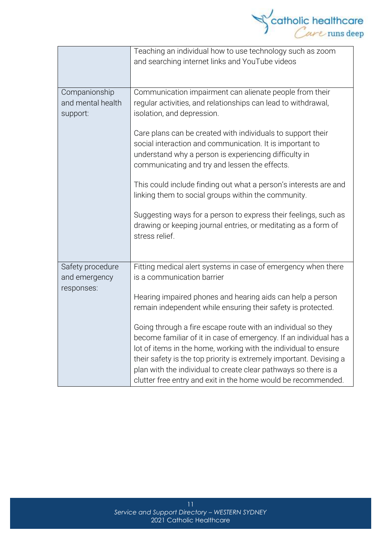

|                                                 | Teaching an individual how to use technology such as zoom<br>and searching internet links and YouTube videos                                                                                                                                                                                                                                                                                                     |  |
|-------------------------------------------------|------------------------------------------------------------------------------------------------------------------------------------------------------------------------------------------------------------------------------------------------------------------------------------------------------------------------------------------------------------------------------------------------------------------|--|
| Companionship<br>and mental health<br>support:  | Communication impairment can alienate people from their<br>regular activities, and relationships can lead to withdrawal,<br>isolation, and depression.                                                                                                                                                                                                                                                           |  |
|                                                 | Care plans can be created with individuals to support their<br>social interaction and communication. It is important to<br>understand why a person is experiencing difficulty in<br>communicating and try and lessen the effects.                                                                                                                                                                                |  |
|                                                 | This could include finding out what a person's interests are and<br>linking them to social groups within the community.                                                                                                                                                                                                                                                                                          |  |
|                                                 | Suggesting ways for a person to express their feelings, such as<br>drawing or keeping journal entries, or meditating as a form of<br>stress relief.                                                                                                                                                                                                                                                              |  |
| Safety procedure<br>and emergency<br>responses: | Fitting medical alert systems in case of emergency when there<br>is a communication barrier                                                                                                                                                                                                                                                                                                                      |  |
|                                                 | Hearing impaired phones and hearing aids can help a person<br>remain independent while ensuring their safety is protected.                                                                                                                                                                                                                                                                                       |  |
|                                                 | Going through a fire escape route with an individual so they<br>become familiar of it in case of emergency. If an individual has a<br>lot of items in the home, working with the individual to ensure<br>their safety is the top priority is extremely important. Devising a<br>plan with the individual to create clear pathways so there is a<br>clutter free entry and exit in the home would be recommended. |  |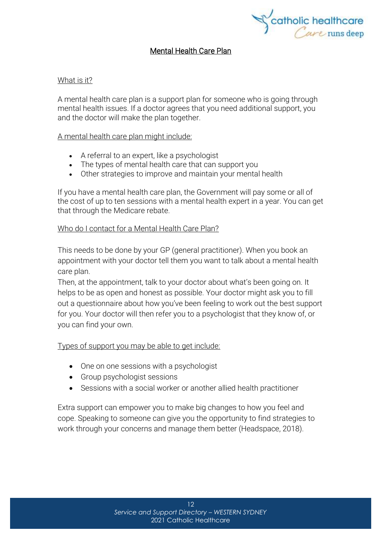

#### Mental Health Care Plan

#### What is it?

A mental health care plan is a support plan for someone who is going through mental health issues. If a doctor agrees that you need additional support, you and the doctor will make the plan together.

#### A mental health care plan might include:

- A referral to an expert, like a psychologist
- The types of mental health care that can support you
- Other strategies to improve and maintain your mental health

If you have a mental health care plan, the Government will pay some or all of the cost of up to ten sessions with a mental health expert in a year. You can get that through the [Medicare](https://headspace.org.au/blog/how-to-get-a-medicare-card-old/) rebate.

#### Who do I contact for a Mental Health Care Plan?

This needs to be done by your GP (general practitioner). When you book an appointment with your doctor tell them you want to talk about a mental health care plan.

Then, at the appointment, talk to your doctor about what's been going on. It helps to be as open and honest as possible. Your doctor might ask you to fill out a questionnaire about how you've been feeling to work out the best support for you. Your doctor will then refer you to a psychologist that they know of, or you can find your own.

#### Types of support you may be able to get include:

- One on one sessions with a psychologist
- Group psychologist sessions
- Sessions with a social worker or another allied health practitioner

Extra support can empower you to make big changes to how you feel and cope. Speaking to someone can give you the opportunity to find strategies to work through your concerns and manage them better (Headspace, 2018).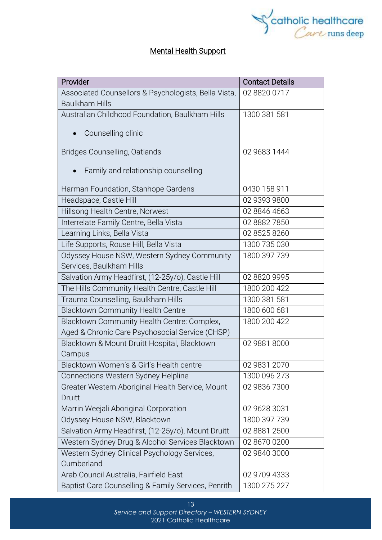

### Mental Health Support

| Provider                                                                      | <b>Contact Details</b> |
|-------------------------------------------------------------------------------|------------------------|
| Associated Counsellors & Psychologists, Bella Vista,<br><b>Baulkham Hills</b> | 02 8820 0717           |
| Australian Childhood Foundation, Baulkham Hills                               | 1300 381 581           |
|                                                                               |                        |
| Counselling clinic<br>$\bullet$                                               |                        |
| Bridges Counselling, Oatlands                                                 | 02 9683 1444           |
| Family and relationship counselling                                           |                        |
| Harman Foundation, Stanhope Gardens                                           | 0430 158 911           |
| Headspace, Castle Hill                                                        | 02 9393 9800           |
| Hillsong Health Centre, Norwest                                               | 02 8846 4663           |
| Interrelate Family Centre, Bella Vista                                        | 02 8882 7850           |
| Learning Links, Bella Vista                                                   | 02 8525 8260           |
| Life Supports, Rouse Hill, Bella Vista                                        | 1300 735 030           |
| Odyssey House NSW, Western Sydney Community                                   | 1800 397 739           |
| Services, Baulkham Hills                                                      |                        |
| Salvation Army Headfirst, (12-25y/o), Castle Hill                             | 02 8820 9995           |
| The Hills Community Health Centre, Castle Hill                                | 1800 200 422           |
| Trauma Counselling, Baulkham Hills                                            | 1300 381 581           |
| <b>Blacktown Community Health Centre</b>                                      | 1800 600 681           |
| Blacktown Community Health Centre: Complex,                                   | 1800 200 422           |
| Aged & Chronic Care Psychosocial Service (CHSP)                               |                        |
| Blacktown & Mount Druitt Hospital, Blacktown                                  | 02 9881 8000           |
| Campus                                                                        |                        |
| Blacktown Women's & Girl's Health centre                                      | 02 9831 2070           |
| Connections Western Sydney Helpline                                           | 1300 096 273           |
| Greater Western Aboriginal Health Service, Mount                              | 02 9836 7300           |
| Druitt                                                                        |                        |
| Marrin Weejali Aboriginal Corporation                                         | 02 9628 3031           |
| Odyssey House NSW, Blacktown                                                  | 1800 397 739           |
| Salvation Army Headfirst, (12-25y/o), Mount Druitt                            | 02 8881 2500           |
| Western Sydney Drug & Alcohol Services Blacktown                              | 02 8670 0200           |
| Western Sydney Clinical Psychology Services,                                  | 02 9840 3000           |
| Cumberland                                                                    |                        |
| Arab Council Australia, Fairfield East                                        | 02 9709 4333           |
| Baptist Care Counselling & Family Services, Penrith                           | 1300 275 227           |

13 *Service and Support Directory – WESTERN SYDNEY* 2021 Catholic Healthcare